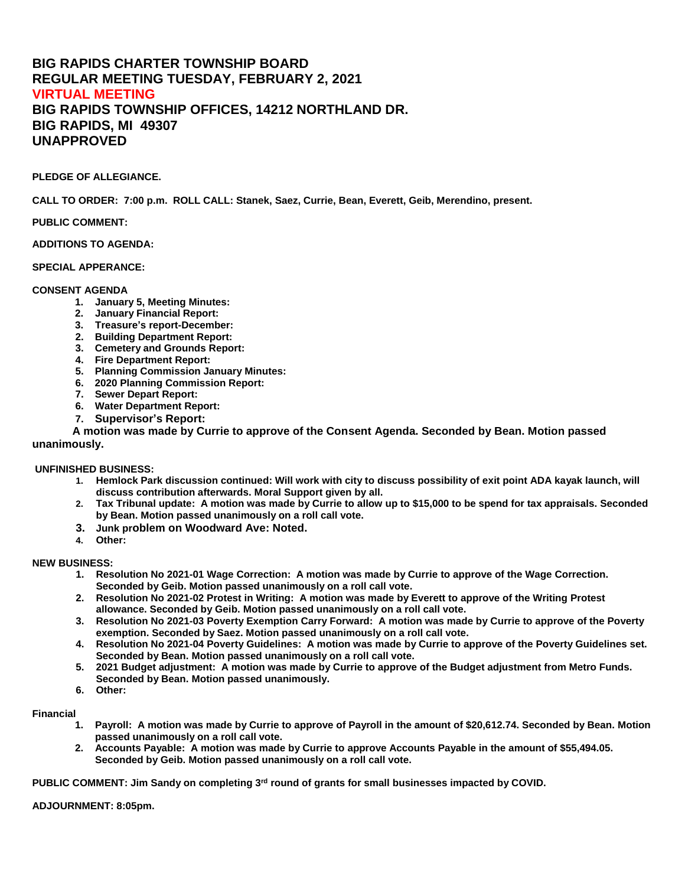# **BIG RAPIDS CHARTER TOWNSHIP BOARD REGULAR MEETING TUESDAY, FEBRUARY 2, 2021 VIRTUAL MEETING BIG RAPIDS TOWNSHIP OFFICES, 14212 NORTHLAND DR. BIG RAPIDS, MI 49307 UNAPPROVED**

## **PLEDGE OF ALLEGIANCE.**

**CALL TO ORDER: 7:00 p.m. ROLL CALL: Stanek, Saez, Currie, Bean, Everett, Geib, Merendino, present.** 

## **PUBLIC COMMENT:**

### **ADDITIONS TO AGENDA:**

#### **SPECIAL APPERANCE:**

#### **CONSENT AGENDA**

- **1. January 5, Meeting Minutes:**
- **2. January Financial Report:**
- **3. Treasure's report-December:**
- **2. Building Department Report:**
- **3. Cemetery and Grounds Report:**
- **4. Fire Department Report:**
- **5. Planning Commission January Minutes:**
- **6. 2020 Planning Commission Report:**
- **7. Sewer Depart Report:**
- **6. Water Department Report:**
- **7. Supervisor's Report:**

**A motion was made by Currie to approve of the Consent Agenda. Seconded by Bean. Motion passed unanimously.** 

**UNFINISHED BUSINESS:**

- **1. Hemlock Park discussion continued: Will work with city to discuss possibility of exit point ADA kayak launch, will discuss contribution afterwards. Moral Support given by all.**
- **2. Tax Tribunal update: A motion was made by Currie to allow up to \$15,000 to be spend for tax appraisals. Seconded by Bean. Motion passed unanimously on a roll call vote.**
- **3. Junk problem on Woodward Ave: Noted.**
- **4. Other:**

## **NEW BUSINESS:**

- **1. Resolution No 2021-01 Wage Correction: A motion was made by Currie to approve of the Wage Correction. Seconded by Geib. Motion passed unanimously on a roll call vote.**
- **2. Resolution No 2021-02 Protest in Writing: A motion was made by Everett to approve of the Writing Protest allowance. Seconded by Geib. Motion passed unanimously on a roll call vote.**
- **3. Resolution No 2021-03 Poverty Exemption Carry Forward: A motion was made by Currie to approve of the Poverty exemption. Seconded by Saez. Motion passed unanimously on a roll call vote.**
- **4. Resolution No 2021-04 Poverty Guidelines: A motion was made by Currie to approve of the Poverty Guidelines set. Seconded by Bean. Motion passed unanimously on a roll call vote.**
- **5. 2021 Budget adjustment: A motion was made by Currie to approve of the Budget adjustment from Metro Funds. Seconded by Bean. Motion passed unanimously.**
- **6. Other:**

## **Financial**

- **1. Payroll: A motion was made by Currie to approve of Payroll in the amount of \$20,612.74. Seconded by Bean. Motion passed unanimously on a roll call vote.**
- **2. Accounts Payable: A motion was made by Currie to approve Accounts Payable in the amount of \$55,494.05. Seconded by Geib. Motion passed unanimously on a roll call vote.**

**PUBLIC COMMENT: Jim Sandy on completing 3rd round of grants for small businesses impacted by COVID.** 

#### **ADJOURNMENT: 8:05pm.**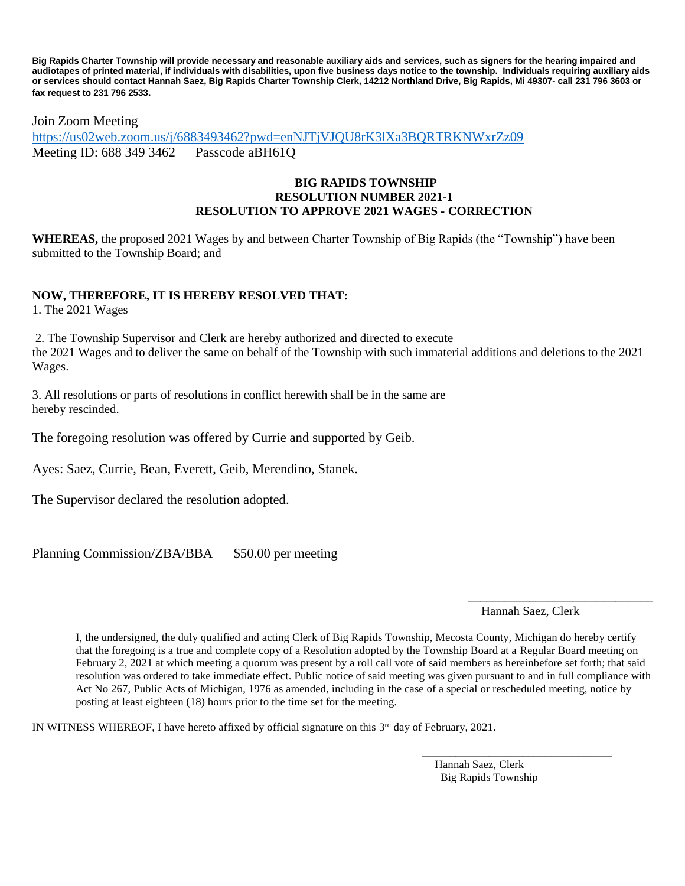**Big Rapids Charter Township will provide necessary and reasonable auxiliary aids and services, such as signers for the hearing impaired and audiotapes of printed material, if individuals with disabilities, upon five business days notice to the township. Individuals requiring auxiliary aids or services should contact Hannah Saez, Big Rapids Charter Township Clerk, 14212 Northland Drive, Big Rapids, Mi 49307- call 231 796 3603 or fax request to 231 796 2533.**

Join Zoom Meeting

<https://us02web.zoom.us/j/6883493462?pwd=enNJTjVJQU8rK3lXa3BQRTRKNWxrZz09> Meeting ID: 688 349 3462 Passcode aBH61Q

# **BIG RAPIDS TOWNSHIP RESOLUTION NUMBER 2021-1 RESOLUTION TO APPROVE 2021 WAGES - CORRECTION**

**WHEREAS,** the proposed 2021 Wages by and between Charter Township of Big Rapids (the "Township") have been submitted to the Township Board; and

# **NOW, THEREFORE, IT IS HEREBY RESOLVED THAT:**

1. The 2021 Wages

2. The Township Supervisor and Clerk are hereby authorized and directed to execute the 2021 Wages and to deliver the same on behalf of the Township with such immaterial additions and deletions to the 2021 Wages.

3. All resolutions or parts of resolutions in conflict herewith shall be in the same are hereby rescinded.

The foregoing resolution was offered by Currie and supported by Geib.

Ayes: Saez, Currie, Bean, Everett, Geib, Merendino, Stanek.

The Supervisor declared the resolution adopted.

Planning Commission/ZBA/BBA \$50.00 per meeting

 $\overline{\phantom{a}}$  , and the contract of the contract of the contract of the contract of the contract of the contract of the contract of the contract of the contract of the contract of the contract of the contract of the contrac Hannah Saez, Clerk

I, the undersigned, the duly qualified and acting Clerk of Big Rapids Township, Mecosta County, Michigan do hereby certify that the foregoing is a true and complete copy of a Resolution adopted by the Township Board at a Regular Board meeting on February 2, 2021 at which meeting a quorum was present by a roll call vote of said members as hereinbefore set forth; that said resolution was ordered to take immediate effect. Public notice of said meeting was given pursuant to and in full compliance with Act No 267, Public Acts of Michigan, 1976 as amended, including in the case of a special or rescheduled meeting, notice by posting at least eighteen (18) hours prior to the time set for the meeting.

IN WITNESS WHEREOF, I have hereto affixed by official signature on this  $3<sup>rd</sup>$  day of February, 2021.

 Hannah Saez, Clerk Big Rapids Township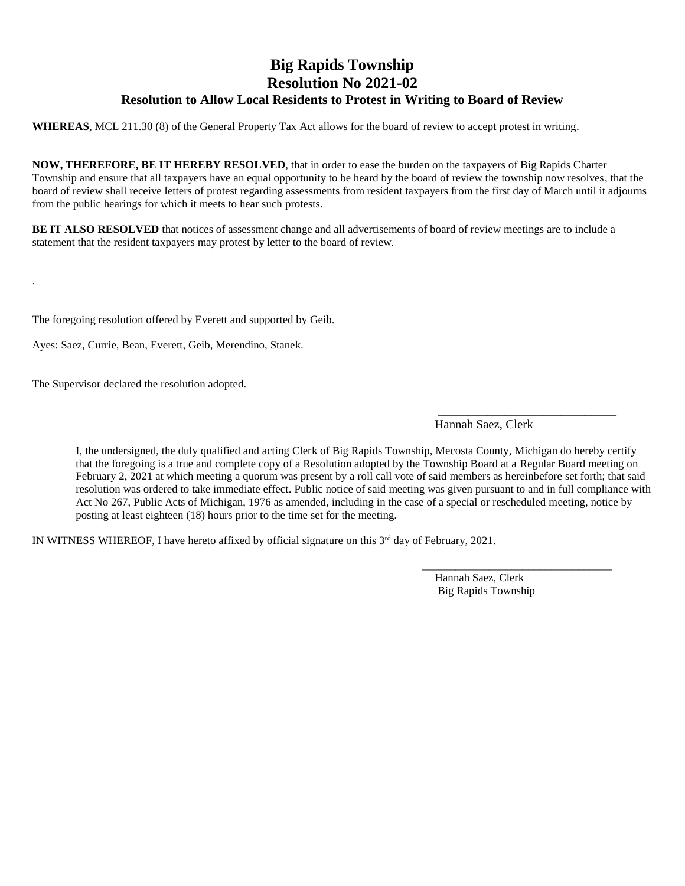# **Big Rapids Township Resolution No 2021-02 Resolution to Allow Local Residents to Protest in Writing to Board of Review**

**WHEREAS**, MCL 211.30 (8) of the General Property Tax Act allows for the board of review to accept protest in writing.

**NOW, THEREFORE, BE IT HEREBY RESOLVED**, that in order to ease the burden on the taxpayers of Big Rapids Charter Township and ensure that all taxpayers have an equal opportunity to be heard by the board of review the township now resolves, that the board of review shall receive letters of protest regarding assessments from resident taxpayers from the first day of March until it adjourns from the public hearings for which it meets to hear such protests.

**BE IT ALSO RESOLVED** that notices of assessment change and all advertisements of board of review meetings are to include a statement that the resident taxpayers may protest by letter to the board of review.

 $\overline{\phantom{a}}$  , and the contract of the contract of the contract of the contract of the contract of the contract of the contract of the contract of the contract of the contract of the contract of the contract of the contrac

The foregoing resolution offered by Everett and supported by Geib.

Ayes: Saez, Currie, Bean, Everett, Geib, Merendino, Stanek.

The Supervisor declared the resolution adopted.

.

Hannah Saez, Clerk

I, the undersigned, the duly qualified and acting Clerk of Big Rapids Township, Mecosta County, Michigan do hereby certify that the foregoing is a true and complete copy of a Resolution adopted by the Township Board at a Regular Board meeting on February 2, 2021 at which meeting a quorum was present by a roll call vote of said members as hereinbefore set forth; that said resolution was ordered to take immediate effect. Public notice of said meeting was given pursuant to and in full compliance with Act No 267, Public Acts of Michigan, 1976 as amended, including in the case of a special or rescheduled meeting, notice by posting at least eighteen (18) hours prior to the time set for the meeting.

IN WITNESS WHEREOF, I have hereto affixed by official signature on this 3<sup>rd</sup> day of February, 2021.

 Hannah Saez, Clerk Big Rapids Township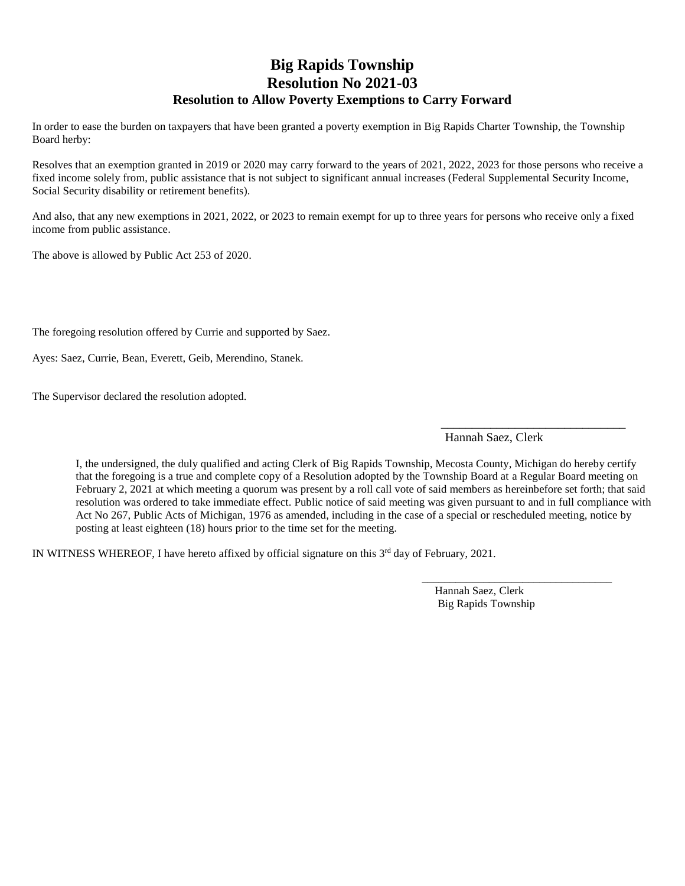# **Big Rapids Township Resolution No 2021-03 Resolution to Allow Poverty Exemptions to Carry Forward**

In order to ease the burden on taxpayers that have been granted a poverty exemption in Big Rapids Charter Township, the Township Board herby:

Resolves that an exemption granted in 2019 or 2020 may carry forward to the years of 2021, 2022, 2023 for those persons who receive a fixed income solely from, public assistance that is not subject to significant annual increases (Federal Supplemental Security Income, Social Security disability or retirement benefits).

And also, that any new exemptions in 2021, 2022, or 2023 to remain exempt for up to three years for persons who receive only a fixed income from public assistance.

The above is allowed by Public Act 253 of 2020.

The foregoing resolution offered by Currie and supported by Saez.

Ayes: Saez, Currie, Bean, Everett, Geib, Merendino, Stanek.

The Supervisor declared the resolution adopted.

Hannah Saez, Clerk

 $\frac{1}{2}$  , and the set of the set of the set of the set of the set of the set of the set of the set of the set of the set of the set of the set of the set of the set of the set of the set of the set of the set of the set

I, the undersigned, the duly qualified and acting Clerk of Big Rapids Township, Mecosta County, Michigan do hereby certify that the foregoing is a true and complete copy of a Resolution adopted by the Township Board at a Regular Board meeting on February 2, 2021 at which meeting a quorum was present by a roll call vote of said members as hereinbefore set forth; that said resolution was ordered to take immediate effect. Public notice of said meeting was given pursuant to and in full compliance with Act No 267, Public Acts of Michigan, 1976 as amended, including in the case of a special or rescheduled meeting, notice by posting at least eighteen (18) hours prior to the time set for the meeting.

IN WITNESS WHEREOF, I have hereto affixed by official signature on this  $3<sup>rd</sup>$  day of February, 2021.

 Hannah Saez, Clerk Big Rapids Township